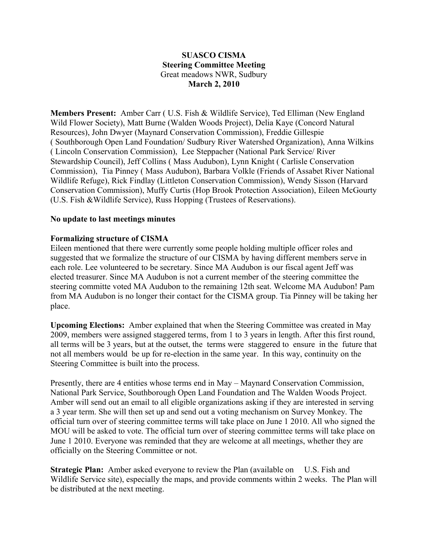## **SUASCO CISMA Steering Committee Meeting** Great meadows NWR, Sudbury **March 2, 2010**

**Members Present:** Amber Carr ( U.S. Fish & Wildlife Service), Ted Elliman (New England Wild Flower Society), Matt Burne (Walden Woods Project), Delia Kaye (Concord Natural Resources), John Dwyer (Maynard Conservation Commission), Freddie Gillespie ( Southborough Open Land Foundation/ Sudbury River Watershed Organization), Anna Wilkins ( Lincoln Conservation Commission), Lee Steppacher (National Park Service/ River Stewardship Council), Jeff Collins ( Mass Audubon), Lynn Knight ( Carlisle Conservation Commission), Tia Pinney ( Mass Audubon), Barbara Volkle (Friends of Assabet River National Wildlife Refuge), Rick Findlay (Littleton Conservation Commission), Wendy Sisson (Harvard Conservation Commission), Muffy Curtis (Hop Brook Protection Association), Eileen McGourty (U.S. Fish &Wildlife Service), Russ Hopping (Trustees of Reservations).

### **No update to last meetings minutes**

### **Formalizing structure of CISMA**

Eileen mentioned that there were currently some people holding multiple officer roles and suggested that we formalize the structure of our CISMA by having different members serve in each role. Lee volunteered to be secretary. Since MA Audubon is our fiscal agent Jeff was elected treasurer. Since MA Audubon is not a current member of the steering committee the steering committe voted MA Audubon to the remaining 12th seat. Welcome MA Audubon! Pam from MA Audubon is no longer their contact for the CISMA group. Tia Pinney will be taking her place.

**Upcoming Elections:** Amber explained that when the Steering Committee was created in May 2009, members were assigned staggered terms, from 1 to 3 years in length. After this first round, all terms will be 3 years, but at the outset, the terms were staggered to ensure in the future that not all members would be up for re-election in the same year. In this way, continuity on the Steering Committee is built into the process.

Presently, there are 4 entities whose terms end in May – Maynard Conservation Commission, National Park Service, Southborough Open Land Foundation and The Walden Woods Project. Amber will send out an email to all eligible organizations asking if they are interested in serving a 3 year term. She will then set up and send out a voting mechanism on Survey Monkey. The official turn over of steering committee terms will take place on June 1 2010. All who signed the MOU will be asked to vote. The official turn over of steering committee terms will take place on June 1 2010. Everyone was reminded that they are welcome at all meetings, whether they are officially on the Steering Committee or not.

**Strategic Plan:** Amber asked everyone to review the Plan (available on U.S. Fish and Wildlife Service site), especially the maps, and provide comments within 2 weeks. The Plan will be distributed at the next meeting.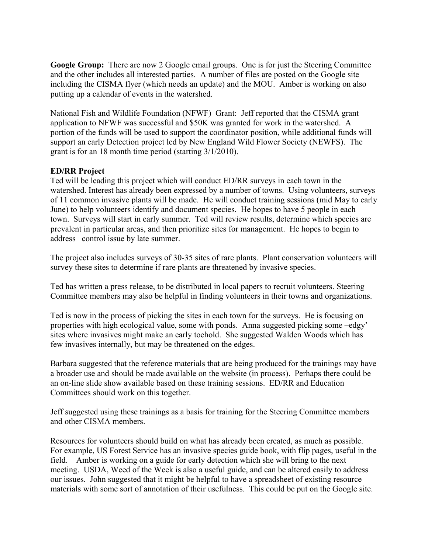**Google Group:** There are now 2 Google email groups. One is for just the Steering Committee and the other includes all interested parties. A number of files are posted on the Google site including the CISMA flyer (which needs an update) and the MOU. Amber is working on also putting up a calendar of events in the watershed.

National Fish and Wildlife Foundation (NFWF) Grant: Jeff reported that the CISMA grant application to NFWF was successful and \$50K was granted for work in the watershed. A portion of the funds will be used to support the coordinator position, while additional funds will support an early Detection project led by New England Wild Flower Society (NEWFS). The grant is for an 18 month time period (starting 3/1/2010).

# **ED/RR Project**

Ted will be leading this project which will conduct ED/RR surveys in each town in the watershed. Interest has already been expressed by a number of towns. Using volunteers, surveys of 11 common invasive plants will be made. He will conduct training sessions (mid May to early June) to help volunteers identify and document species. He hopes to have 5 people in each town. Surveys will start in early summer. Ted will review results, determine which species are prevalent in particular areas, and then prioritize sites for management. He hopes to begin to address control issue by late summer.

The project also includes surveys of 30-35 sites of rare plants. Plant conservation volunteers will survey these sites to determine if rare plants are threatened by invasive species.

Ted has written a press release, to be distributed in local papers to recruit volunteers. Steering Committee members may also be helpful in finding volunteers in their towns and organizations.

Ted is now in the process of picking the sites in each town for the surveys. He is focusing on properties with high ecological value, some with ponds. Anna suggested picking some –edgy' sites where invasives might make an early toehold. She suggested Walden Woods which has few invasives internally, but may be threatened on the edges.

Barbara suggested that the reference materials that are being produced for the trainings may have a broader use and should be made available on the website (in process). Perhaps there could be an on-line slide show available based on these training sessions. ED/RR and Education Committees should work on this together.

Jeff suggested using these trainings as a basis for training for the Steering Committee members and other CISMA members.

Resources for volunteers should build on what has already been created, as much as possible. For example, US Forest Service has an invasive species guide book, with flip pages, useful in the field. Amber is working on a guide for early detection which she will bring to the next meeting. USDA, Weed of the Week is also a useful guide, and can be altered easily to address our issues. John suggested that it might be helpful to have a spreadsheet of existing resource materials with some sort of annotation of their usefulness. This could be put on the Google site.